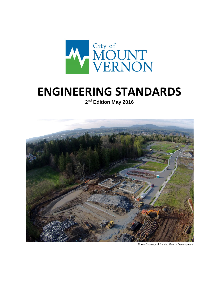

## **ENGINEERING STANDARDS**

**2nd Edition May 2016**



Photo Courtesy of Landed Gentry Development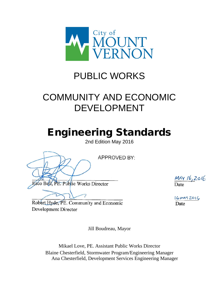

### PUBLIC WORKS

## COMMUNITY AND ECONOMIC DEVELOPMENT

# Engineering Standards

2nd Edition May 2016

**APPROVED BY:** sco Bell, PE. Public Works Director

MAY 16,2016 Date

 $16$  MBY 2016 Date

Robert Hyde, PE. Community and Economic Development Director

Jill Boudreau, Mayor

Mikael Love, PE. Assistant Public Works Director Blaine Chesterfield, Stormwater Program/Engineering Manager Ana Chesterfield, Development Services Engineering Manager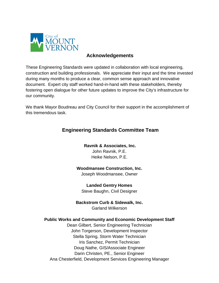

#### **Acknowledgements**

These Engineering Standards were updated in collaboration with local engineering, construction and building professionals. We appreciate their input and the time invested during many months to produce a clear, common sense approach and innovative document. Expert city staff worked hand-in-hand with these stakeholders, thereby fostering open dialogue for other future updates to improve the City's infrastructure for our community.

We thank Mayor Boudreau and City Council for their support in the accomplishment of this tremendous task.

#### **Engineering Standards Committee Team**

#### **Ravnik & Associates, Inc.**

John Ravnik, P.E. Heike Nelson, P.E.

#### **Woodmansee Construction, Inc.**

Joseph Woodmansee, Owner

**Landed Gentry Homes**  Steve Baughn, Civil Designer

**Backstrom Curb & Sidewalk, Inc.** Garland Wilkerson

#### **Public Works and Community and Economic Development Staff**

Dean Gilbert, Senior Engineering Technician John Torgerson, Development Inspector Stella Spring, Storm Water Technician Iris Sanchez, Permit Technician Doug Nathe, GIS/Associate Engineer Darin Christen, PE., Senior Engineer Ana Chesterfield, Development Services Engineering Manager